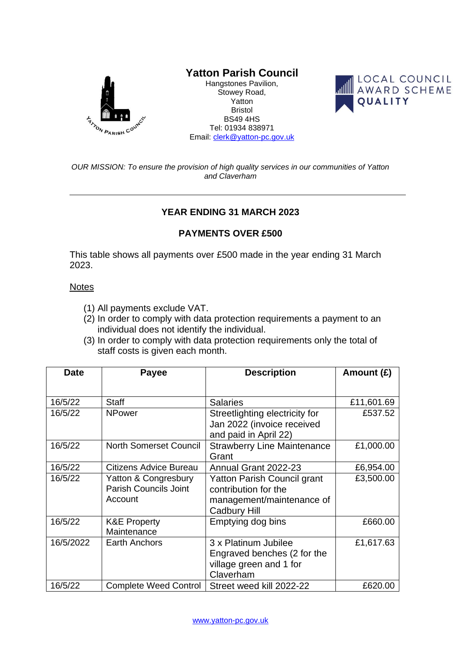

## **Yatton Parish Council**

Hangstones Pavilion, Stowey Road, Yatton Bristol BS49 4HS Tel: 01934 838971 Email: [clerk@yatton-pc.gov.uk](mailto:clerk@yatton-pc.gov.uk)



*OUR MISSION: To ensure the provision of high quality services in our communities of Yatton and Claverham*

## **YEAR ENDING 31 MARCH 2023**

## **PAYMENTS OVER £500**

This table shows all payments over £500 made in the year ending 31 March 2023.

## **Notes**

- (1) All payments exclude VAT.
- (2) In order to comply with data protection requirements a payment to an individual does not identify the individual.
- (3) In order to comply with data protection requirements only the total of staff costs is given each month.

| <b>Date</b> | <b>Payee</b>                  | <b>Description</b>                 | Amount (£) |
|-------------|-------------------------------|------------------------------------|------------|
|             |                               |                                    |            |
| 16/5/22     | <b>Staff</b>                  | <b>Salaries</b>                    | £11,601.69 |
| 16/5/22     | <b>NPower</b>                 | Streetlighting electricity for     | £537.52    |
|             |                               | Jan 2022 (invoice received         |            |
|             |                               | and paid in April 22)              |            |
| 16/5/22     | <b>North Somerset Council</b> | <b>Strawberry Line Maintenance</b> | £1,000.00  |
|             |                               | Grant                              |            |
| 16/5/22     | <b>Citizens Advice Bureau</b> | Annual Grant 2022-23               | £6,954.00  |
| 16/5/22     | Yatton & Congresbury          | Yatton Parish Council grant        | £3,500.00  |
|             | <b>Parish Councils Joint</b>  | contribution for the               |            |
|             | Account                       | management/maintenance of          |            |
|             |                               | <b>Cadbury Hill</b>                |            |
| 16/5/22     | <b>K&amp;E Property</b>       | Emptying dog bins                  | £660.00    |
|             | Maintenance                   |                                    |            |
| 16/5/2022   | <b>Earth Anchors</b>          | 3 x Platinum Jubilee               | £1,617.63  |
|             |                               | Engraved benches (2 for the        |            |
|             |                               | village green and 1 for            |            |
|             |                               | Claverham                          |            |
| 16/5/22     | <b>Complete Weed Control</b>  | Street weed kill 2022-22           | £620.00    |